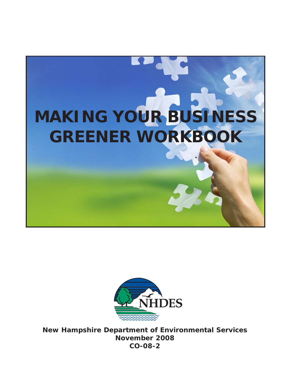



**New Hampshire Department of Environmental Services November 2008 CO-08-2**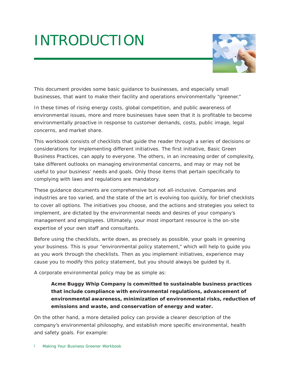# INTRODUCTION



This document provides some basic guidance to businesses, and especially small businesses, that want to make their facility and operations environmentally "greener."

In these times of rising energy costs, global competition, and public awareness of environmental issues, more and more businesses have seen that it is profitable to become environmentally proactive in response to customer demands, costs, public image, legal concerns, and market share.

This workbook consists of checklists that guide the reader through a series of decisions or considerations for implementing different initiatives. The first initiative, Basic Green Business Practices, can apply to everyone. The others, in an increasing order of complexity, take different outlooks on managing environmental concerns, and may or may not be useful to your business' needs and goals. Only those items that pertain specifically to complying with laws and regulations are mandatory.

These guidance documents are comprehensive but not all-inclusive. Companies and industries are too varied, and the state of the art is evolving too quickly, for brief checklists to cover all options. The initiatives you choose, and the actions and strategies you select to implement, are dictated by the environmental needs and desires of your company's management and employees. Ultimately, your most important resource is the on-site expertise of your own staff and consultants.

Before using the checklists, write down, as precisely as possible, your goals in greening your business. This is your "environmental policy statement," which will help to guide you as you work through the checklists. Then as you implement initiatives, experience may cause you to modify this policy statement, but you should always be guided by it.

A corporate environmental policy may be as simple as:

**Acme Buggy Whip Company is committed to sustainable business practices that include compliance with environmental regulations, advancement of environmental awareness, minimization of environmental risks, reduction of emissions and waste, and conservation of energy and water.**

On the other hand, a more detailed policy can provide a clearer description of the company's environmental philosophy, and establish more specific environmental, health and safety goals. For example: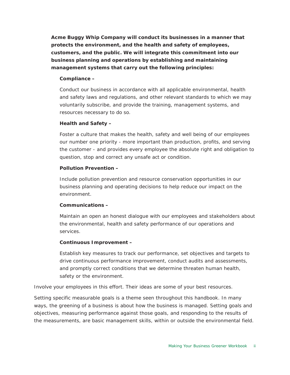**Acme Buggy Whip Company will conduct its businesses in a manner that protects the environment, and the health and safety of employees, customers, and the public. We will integrate this commitment into our business planning and operations by establishing and maintaining management systems that carry out the following principles:**

### **Compliance –**

Conduct our business in accordance with all applicable environmental, health and safety laws and regulations, and other relevant standards to which we may voluntarily subscribe, and provide the training, management systems, and resources necessary to do so.

### **Health and Safety –**

Foster a culture that makes the health, safety and well being of our employees our number one priority - more important than production, profits, and serving the customer - and provides every employee the absolute right and obligation to question, stop and correct any unsafe act or condition.

### **Pollution Prevention –**

Include pollution prevention and resource conservation opportunities in our business planning and operating decisions to help reduce our impact on the environment.

#### **Communications –**

Maintain an open an honest dialogue with our employees and stakeholders about the environmental, health and safety performance of our operations and services.

# **Continuous Improvement –**

Establish key measures to track our performance, set objectives and targets to drive continuous performance improvement, conduct audits and assessments, and promptly correct conditions that we determine threaten human health, safety or the environment.

Involve your employees in this effort. Their ideas are some of your best resources.

Setting specific measurable goals is a theme seen throughout this handbook. In many ways, the greening of a business is about how the business is managed. Setting goals and objectives, measuring performance against those goals, and responding to the results of the measurements, are basic management skills, within or outside the environmental field.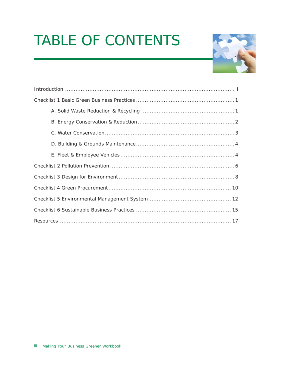# TABLE OF CONTENTS

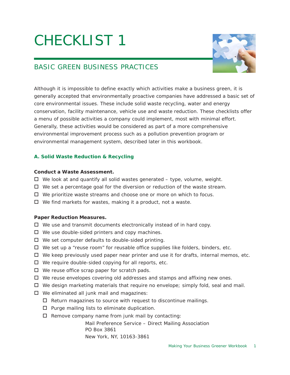

# BASIC GREEN BUSINESS PRACTICES

Although it is impossible to define exactly which activities make a business green, it is generally accepted that environmentally proactive companies have addressed a basic set of core environmental issues. These include solid waste recycling, water and energy conservation, facility maintenance, vehicle use and waste reduction. These checklists offer a menu of possible activities a company could implement, most with minimal effort. Generally, these activities would be considered as part of a more comprehensive environmental improvement process such as a pollution prevention program or environmental management system, described later in this workbook.

# **A. Solid Waste Reduction & Recycling**

### **Conduct a Waste Assessment.**

- $\Box$  We look at and quantify all solid wastes generated type, volume, weight.
- $\Box$  We set a percentage goal for the diversion or reduction of the waste stream.
- $\Box$  We prioritize waste streams and choose one or more on which to focus.
- We find markets for wastes, making it a *product*, not a *waste*.

# **Paper Reduction Measures.**

- $\Box$  We use and transmit documents electronically instead of in hard copy.
- $\Box$  We use double-sided printers and copy machines.
- $\Box$  We set computer defaults to double-sided printing.
- $\Box$  We set up a "reuse room" for reusable office supplies like folders, binders, etc.
- $\Box$  We keep previously used paper near printer and use it for drafts, internal memos, etc.
- $\Box$  We require double-sided copying for all reports, etc.
- $\Box$  We reuse office scrap paper for scratch pads.
- $\Box$  We reuse envelopes covering old addresses and stamps and affixing new ones.
- $\Box$  We design marketing materials that require no envelope; simply fold, seal and mail.
- $\Box$  We eliminated all junk mail and magazines:
	- $\Box$  Return magazines to source with request to discontinue mailings.
	- $\square$  Purge mailing lists to eliminate duplication.
	- $\Box$  Remove company name from junk mail by contacting:

Mail Preference Service – Direct Mailing Association PO Box 3861 New York, NY, 10163-3861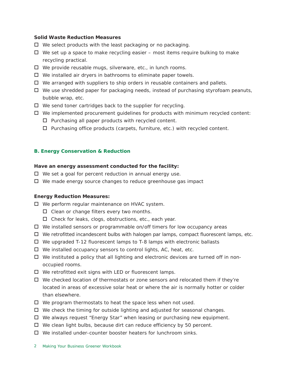#### **Solid Waste Reduction Measures**

- $\Box$  We select products with the least packaging or no packaging.
- $\Box$  We set up a space to make recycling easier most items require bulking to make recycling practical.
- □ We provide reusable mugs, silverware, etc., in lunch rooms.
- $\Box$  We installed air dryers in bathrooms to eliminate paper towels.
- $\Box$  We arranged with suppliers to ship orders in reusable containers and pallets.
- $\Box$  We use shredded paper for packaging needs, instead of purchasing styrofoam peanuts, bubble wrap, etc.
- $\Box$  We send toner cartridges back to the supplier for recycling.
- $\Box$  We implemented procurement guidelines for products with minimum recycled content:
	- $\Box$  Purchasing all paper products with recycled content.
	- $\Box$  Purchasing office products (carpets, furniture, etc.) with recycled content.

#### **B. Energy Conservation & Reduction**

#### **Have an energy assessment conducted for the facility:**

- $\Box$  We set a goal for percent reduction in annual energy use.
- □ We made energy source changes to reduce greenhouse gas impact

#### **Energy Reduction Measures:**

□ We perform regular maintenance on HVAC system.

- $\Box$  Clean or change filters every two months.
- $\Box$  Check for leaks, clogs, obstructions, etc., each year.
- $\Box$  We installed sensors or programmable on/off timers for low occupancy areas
- $\Box$  We retrofitted incandescent bulbs with halogen par lamps, compact fluorescent lamps, etc.
- We upgraded T-12 fluorescent lamps to T-8 lamps with electronic ballasts
- $\Box$  We installed occupancy sensors to control lights, AC, heat, etc.
- $\Box$  We instituted a policy that all lighting and electronic devices are turned off in nonoccupied rooms.
- $\Box$  We retrofitted exit signs with LED or fluorescent lamps.
- $\Box$  We checked location of thermostats or zone sensors and relocated them if they're located in areas of excessive solar heat or where the air is normally hotter or colder than elsewhere.
- $\Box$  We program thermostats to heat the space less when not used.
- $\Box$  We check the timing for outside lighting and adjusted for seasonal changes.
- We always request "Energy Star" when leasing or purchasing new equipment.
- $\Box$  We clean light bulbs, because dirt can reduce efficiency by 50 percent.
- We installed under-counter booster heaters for lunchroom sinks.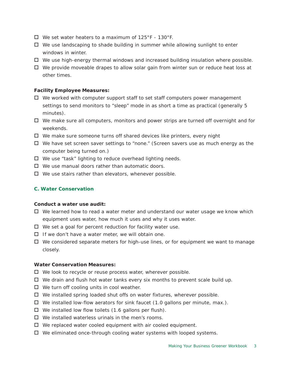- $\Box$  We set water heaters to a maximum of 125°F 130°F.
- $\Box$  We use landscaping to shade building in summer while allowing sunlight to enter windows in winter.
- $\Box$  We use high-energy thermal windows and increased building insulation where possible.
- $\Box$  We provide moveable drapes to allow solar gain from winter sun or reduce heat loss at other times.

#### **Facility Employee Measures:**

- $\Box$  We worked with computer support staff to set staff computers power management settings to send monitors to "sleep" mode in as short a time as practical (generally 5 minutes).
- $\Box$  We make sure all computers, monitors and power strips are turned off overnight and for weekends.
- □ We make sure someone turns off shared devices like printers, every night
- $\Box$  We have set screen saver settings to "none." (Screen savers use as much energy as the computer being turned on.)
- $\Box$  We use "task" lighting to reduce overhead lighting needs.
- $\Box$  We use manual doors rather than automatic doors.
- $\Box$  We use stairs rather than elevators, whenever possible.

#### **C. Water Conservation**

#### **Conduct a water use audit:**

- $\Box$  We learned how to read a water meter and understand our water usage we know which equipment uses water, how much it uses and why it uses water.
- $\Box$  We set a goal for percent reduction for facility water use.
- $\Box$  If we don't have a water meter, we will obtain one.
- $\Box$  We considered separate meters for high-use lines, or for equipment we want to manage closely.

#### **Water Conservation Measures:**

- $\Box$  We look to recycle or reuse process water, wherever possible.
- $\Box$  We drain and flush hot water tanks every six months to prevent scale build up.
- $\Box$  We turn off cooling units in cool weather.
- $\Box$  We installed spring loaded shut offs on water fixtures, wherever possible.
- $\Box$  We installed low-flow aerators for sink faucet (1.0 gallons per minute, max.).
- $\Box$  We installed low flow toilets (1.6 gallons per flush).
- $\Box$  We installed waterless urinals in the men's rooms.
- $\Box$  We replaced water cooled equipment with air cooled equipment.
- $\Box$  We eliminated once-through cooling water systems with looped systems.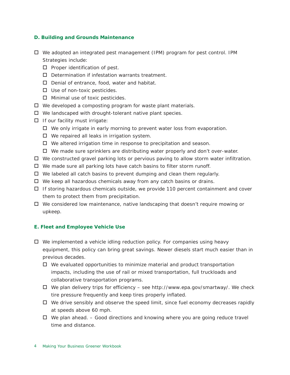#### **D. Building and Grounds Maintenance**

- $\Box$  We adopted an integrated pest management (IPM) program for pest control. IPM Strategies include:
	- $\square$  Proper identification of pest.
	- $\square$  Determination if infestation warrants treatment.
	- $\Box$  Denial of entrance, food, water and habitat.
	- $\Box$  Use of non-toxic pesticides.
	- $\Box$  Minimal use of toxic pesticides.
- $\Box$  We developed a composting program for waste plant materials.
- $\Box$  We landscaped with drought-tolerant native plant species.
- $\Box$  If our facility must irrigate:
	- $\Box$  We only irrigate in early morning to prevent water loss from evaporation.
	- $\Box$  We repaired all leaks in irrigation system.
	- $\Box$  We altered irrigation time in response to precipitation and season.
	- $\Box$  We made sure sprinklers are distributing water properly and don't over-water.
- □ We constructed gravel parking lots or pervious paving to allow storm water infiltration.
- $\Box$  We made sure all parking lots have catch basins to filter storm runoff.
- $\Box$  We labeled all catch basins to prevent dumping and clean them regularly.
- $\Box$  We keep all hazardous chemicals away from any catch basins or drains.
- $\Box$  If storing hazardous chemicals outside, we provide 110 percent containment and cover them to protect them from precipitation.
- $\Box$  We considered low maintenance, native landscaping that doesn't require mowing or upkeep.

#### **E. Fleet and Employee Vehicle Use**

- $\Box$  We implemented a vehicle idling reduction policy. For companies using heavy equipment, this policy can bring great savings. Newer diesels start much easier than in previous decades.
	- $\Box$  We evaluated opportunities to minimize material and product transportation impacts, including the use of rail or mixed transportation, full truckloads and collaborative transportation programs.
	- $\Box$  We plan delivery trips for efficiency see http://www.epa.gov/smartway/. We check tire pressure frequently and keep tires properly inflated.
	- $\Box$  We drive sensibly and observe the speed limit, since fuel economy decreases rapidly at speeds above 60 mph.
	- $\Box$  We plan ahead.  $-$  Good directions and knowing where you are going reduce travel time and distance.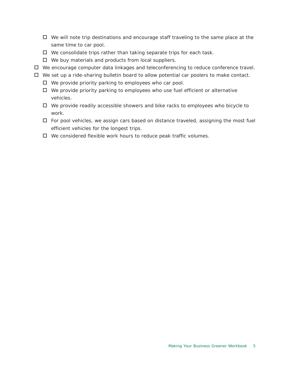- $\Box$  We will note trip destinations and encourage staff traveling to the same place at the same time to car pool.
- $\Box$  We consolidate trips rather than taking separate trips for each task.
- $\Box$  We buy materials and products from local suppliers.
- We encourage computer data linkages and teleconferencing to reduce conference travel.
- $\Box$  We set up a ride-sharing bulletin board to allow potential car poolers to make contact.
	- $\Box$  We provide priority parking to employees who car pool.
	- $\Box$  We provide priority parking to employees who use fuel efficient or alternative vehicles.
	- $\Box$  We provide readily accessible showers and bike racks to employees who bicycle to work.
	- $\Box$  For pool vehicles, we assign cars based on distance traveled, assigning the most fuel efficient vehicles for the longest trips.
	- $\Box$  We considered flexible work hours to reduce peak traffic volumes.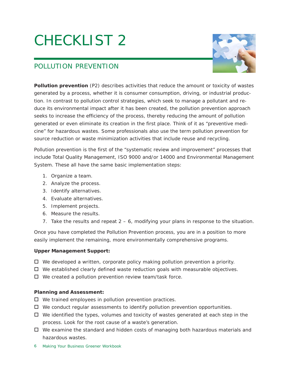

# POLLUTION PREVENTION

**Pollution prevention** (P2) describes activities that reduce the amount or toxicity of wastes generated by a process, whether it is consumer consumption, driving, or industrial production. In contrast to pollution *control* strategies, which seek to manage a pollutant and reduce its environmental impact *after* it has been created, the pollution prevention approach seeks to increase the efficiency of the process, thereby reducing the amount of pollution generated or even eliminate its creation in the first place. Think of it as "preventive medicine" for hazardous wastes. Some professionals also use the term pollution prevention for source reduction or waste minimization activities that include reuse and recycling.

Pollution prevention is the first of the "systematic review and improvement" processes that include Total Quality Management, ISO 9000 and/or 14000 and Environmental Management System. These all have the same basic implementation steps:

- 1. Organize a team.
- 2. Analyze the process.
- 3. Identify alternatives.
- 4. Evaluate alternatives.
- 5. Implement projects.
- 6. Measure the results.
- 7. Take the results and repeat  $2 6$ , modifying your plans in response to the situation.

Once you have completed the Pollution Prevention process, you are in a position to more easily implement the remaining, more environmentally comprehensive programs.

# **Upper Management Support:**

- $\Box$  We developed a written, corporate policy making pollution prevention a priority.
- $\Box$  We established clearly defined waste reduction goals with measurable objectives.
- $\Box$  We created a pollution prevention review team/task force.

# **Planning and Assessment:**

- $\Box$  We trained employees in pollution prevention practices.
- $\Box$  We conduct regular assessments to identify pollution prevention opportunities.
- $\Box$  We identified the types, volumes and toxicity of wastes generated at each step in the process. Look for the root cause of a waste's generation.
- We examine the standard and *hidden* costs of managing both hazardous materials and hazardous wastes.
- Making Your Business Greener Workbook 6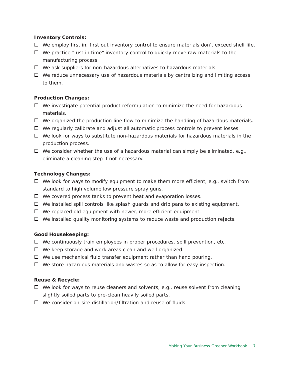### **Inventory Controls:**

- $\Box$  We employ first in, first out inventory control to ensure materials don't exceed shelf life.
- $\Box$  We practice "just in time" inventory control to quickly move raw materials to the manufacturing process.
- We ask suppliers for non-hazardous alternatives to hazardous materials.
- $\Box$  We reduce unnecessary use of hazardous materials by centralizing and limiting access to them.

# **Production Changes:**

- $\Box$  We investigate potential product reformulation to minimize the need for hazardous materials.
- $\Box$  We organized the production line flow to minimize the handling of hazardous materials.
- $\Box$  We regularly calibrate and adjust all automatic process controls to prevent losses.
- $\Box$  We look for ways to substitute non-hazardous materials for hazardous materials in the production process.
- $\Box$  We consider whether the use of a hazardous material can simply be eliminated, e.g., eliminate a cleaning step if not necessary.

# **Technology Changes:**

- $\Box$  We look for ways to modify equipment to make them more efficient, e.g., switch from standard to high volume low pressure spray guns.
- $\Box$  We covered process tanks to prevent heat and evaporation losses.
- $\Box$  We installed spill controls like splash guards and drip pans to existing equipment.
- $\Box$  We replaced old equipment with newer, more efficient equipment.
- $\Box$  We installed quality monitoring systems to reduce waste and production rejects.

# **Good Housekeeping:**

- $\Box$  We continuously train employees in proper procedures, spill prevention, etc.
- $\Box$  We keep storage and work areas clean and well organized.
- $\Box$  We use mechanical fluid transfer equipment rather than hand pouring.
- $\Box$  We store hazardous materials and wastes so as to allow for easy inspection.

# **Reuse & Recycle:**

- $\Box$  We look for ways to reuse cleaners and solvents, e.g., reuse solvent from cleaning slightly soiled parts to pre-clean heavily soiled parts.
- $\Box$  We consider on-site distillation/filtration and reuse of fluids.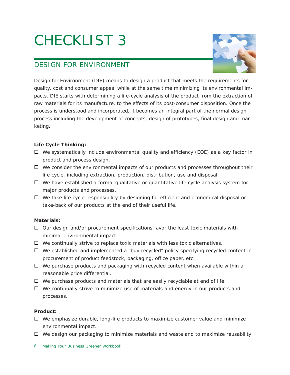

# DESIGN FOR ENVIRONMENT

Design for Environment (DfE) means to design a product that meets the requirements for quality, cost and consumer appeal while at the same time minimizing its environmental impacts. DfE starts with determining a life-cycle analysis of the product from the extraction of raw materials for its manufacture, to the effects of its post-consumer disposition. Once the process is understood and incorporated, it becomes an integral part of the normal design process including the development of concepts, design of prototypes, final design and marketing.

# **Life Cycle Thinking:**

- $\Box$  We systematically include environmental quality and efficiency (EQE) as a key factor in product and process design.
- $\Box$  We consider the environmental impacts of our products and processes throughout their life cycle, including extraction, production, distribution, use and disposal.
- $\Box$  We have established a formal qualitative or quantitative life cycle analysis system for major products and processes.
- We take life cycle responsibility by designing for efficient and economical disposal or take-back of our products at the end of their useful life.

# **Materials:**

- $\Box$  Our design and/or procurement specifications favor the least toxic materials with minimal environmental impact.
- $\Box$  We continually strive to replace toxic materials with less toxic alternatives.
- $\Box$  We established and implemented a "buy recycled" policy specifying recycled content in procurement of product feedstock, packaging, office paper, etc.
- $\Box$  We purchase products and packaging with recycled content when available within a reasonable price differential.
- $\Box$  We purchase products and materials that are easily recyclable at end of life.
- $\Box$  We continually strive to minimize use of materials and energy in our products and processes.

# **Product:**

- $\Box$  We emphasize durable, long-life products to maximize customer value and minimize environmental impact.
- $\Box$  We design our packaging to minimize materials and waste and to maximize reusability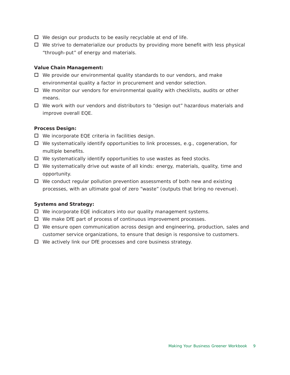- $\Box$  We design our products to be easily recyclable at end of life.
- $\Box$  We strive to dematerialize our products by providing more benefit with less physical "through-put" of energy and materials.

#### **Value Chain Management:**

- $\Box$  We provide our environmental quality standards to our vendors, and make environmental quality a factor in procurement and vendor selection.
- $\Box$  We monitor our vendors for environmental quality with checklists, audits or other means.
- $\Box$  We work with our vendors and distributors to "design out" hazardous materials and improve overall EQE.

#### **Process Design:**

- $\Box$  We incorporate EQE criteria in facilities design.
- $\Box$  We systematically identify opportunities to link processes, e.g., cogeneration, for multiple benefits.
- $\Box$  We systematically identify opportunities to use wastes as feed stocks.
- $\Box$  We systematically drive out waste of all kinds: energy, materials, quality, time and opportunity.
- $\Box$  We conduct regular pollution prevention assessments of both new and existing processes, with an ultimate goal of zero "waste" (outputs that bring no revenue).

#### **Systems and Strategy:**

- $\Box$  We incorporate EQE indicators into our quality management systems.
- $\Box$  We make DfE part of process of continuous improvement processes.
- $\Box$  We ensure open communication across design and engineering, production, sales and customer service organizations, to ensure that design is responsive to customers.
- $\Box$  We actively link our DfE processes and core business strategy.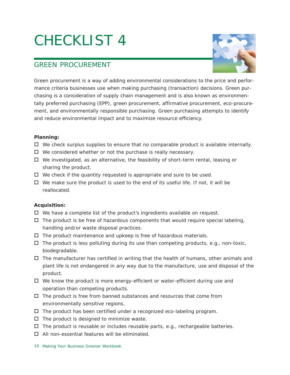

# GREEN PROCUREMENT

Green procurement is a way of adding environmental considerations to the price and performance criteria businesses use when making purchasing (transaction) decisions. Green purchasing is a consideration of supply chain management and is also known as environmentally preferred purchasing (EPP), green procurement, affirmative procurement, eco-procurement, and environmentally responsible purchasing. Green purchasing attempts to identify and reduce environmental impact and to maximize resource efficiency.

# **Planning:**

- $\Box$  We check surplus supplies to ensure that no comparable product is available internally.
- $\Box$  We considered whether or not the purchase is really necessary.
- $\Box$  We investigated, as an alternative, the feasibility of short-term rental, leasing or sharing the product.
- $\Box$  We check if the quantity requested is appropriate and sure to be used.
- $\Box$  We make sure the product is used to the end of its useful life. If not, it will be reallocated.

# **Acquisition:**

- $\Box$  We have a complete list of the product's ingredients available on request.
- $\Box$  The product is be free of hazardous components that would require special labeling, handling and/or waste disposal practices.
- $\square$  The product maintenance and upkeep is free of hazardous materials.
- $\Box$  The product is less polluting during its use than competing products, e.g., non-toxic, biodegradable.
- $\Box$  The manufacturer has certified in writing that the health of humans, other animals and plant life is not endangered in any way due to the manufacture, use and disposal of the product.
- $\Box$  We know the product is more energy-efficient or water-efficient during use and operation than competing products.
- $\Box$  The product is free from banned substances and resources that come from environmentally sensitive regions.
- $\Box$  The product has been certified under a recognized eco-labeling program.
- $\Box$  The product is designed to minimize waste.
- $\Box$  The product is reusable or includes reusable parts, e.g., rechargeable batteries.
- $\Box$  All non-essential features will be eliminated.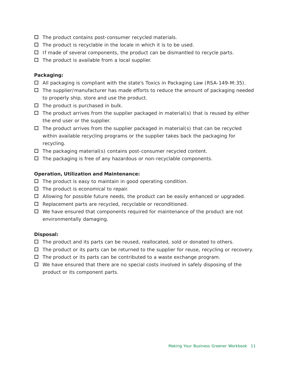- $\Box$  The product contains post-consumer recycled materials.
- $\Box$  The product is recyclable in the locale in which it is to be used.
- $\Box$  If made of several components, the product can be dismantled to recycle parts.
- $\Box$  The product is available from a local supplier.

# **Packaging:**

- $\Box$  All packaging is compliant with the state's Toxics in Packaging Law (RSA-149-M: 35).
- $\Box$  The supplier/manufacturer has made efforts to reduce the amount of packaging needed to properly ship, store and use the product.
- $\Box$  The product is purchased in bulk.
- $\Box$  The product arrives from the supplier packaged in material(s) that is reused by either the end user or the supplier.
- $\Box$  The product arrives from the supplier packaged in material(s) that can be recycled within available recycling programs or the supplier takes back the packaging for recycling.
- $\Box$  The packaging material(s) contains post-consumer recycled content.
- $\Box$  The packaging is free of any hazardous or non-recyclable components.

# **Operation, Utilization and Maintenance:**

- $\Box$  The product is easy to maintain in good operating condition.
- $\Box$  The product is economical to repair.
- $\Box$  Allowing for possible future needs, the product can be easily enhanced or upgraded.
- $\Box$  Replacement parts are recycled, recyclable or reconditioned.
- $\Box$  We have ensured that components required for maintenance of the product are not environmentally damaging.

# **Disposal:**

- $\Box$  The product and its parts can be reused, reallocated, sold or donated to others.
- $\Box$  The product or its parts can be returned to the supplier for reuse, recycling or recovery.
- $\Box$  The product or its parts can be contributed to a waste exchange program.
- $\Box$  We have ensured that there are no special costs involved in safely disposing of the product or its component parts.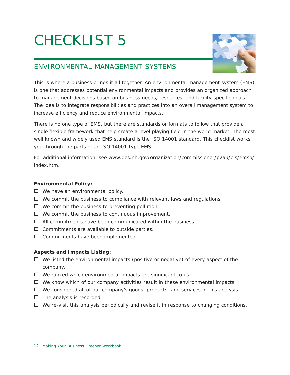

# ENVIRONMENTAL MANAGEMENT SYSTEMS

This is where a business brings it all together. An environmental management system (EMS) is one that addresses potential environmental impacts and provides an organized approach to management decisions based on business needs, resources, and facility-specific goals. The idea is to integrate responsibilities and practices into an overall management system to increase efficiency and reduce environmental impacts.

There is no one type of EMS, but there are standards or formats to follow that provide a single flexible framework that help create a level playing field in the world market. The most well known and widely used EMS standard is the ISO 14001 standard. This checklist works you through the parts of an ISO 14001-type EMS.

For additional information, see www.des.nh.gov/organization/commissioner/p2au/pis/emsp/ index.htm

# **Environmental Policy:**

- $\Box$  We have an environmental policy.
- $\Box$  We commit the business to compliance with relevant laws and regulations.
- $\Box$  We commit the business to preventing pollution.
- $\Box$  We commit the business to continuous improvement.
- $\Pi$  All commitments have been communicated within the business.
- $\Box$  Commitments are available to outside parties.
- $\Box$  Commitments have been implemented.

# **Aspects and Impacts Listing:**

- $\Box$  We listed the environmental impacts (positive or negative) of every aspect of the company.
- $\Box$  We ranked which environmental impacts are significant to us.
- $\Box$  We know which of our company activities result in these environmental impacts.
- $\Box$  We considered all of our company's goods, products, and services in this analysis.
- $\Box$  The analysis is recorded.
- $\Box$  We re-visit this analysis periodically and revise it in response to changing conditions.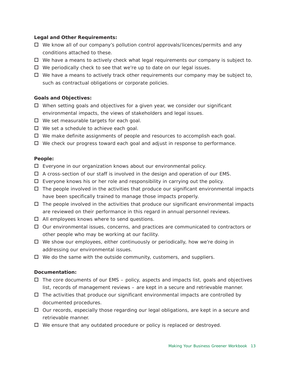#### **Legal and Other Requirements:**

- $\Box$  We know all of our company's pollution control approvals/licences/permits and any conditions attached to these.
- $\Box$  We have a means to actively check what legal requirements our company is subject to.
- □ We periodically check to see that we're up to date on our legal issues.
- $\Box$  We have a means to actively track other requirements our company may be subject to, such as contractual obligations or corporate policies.

# **Goals and Objectives:**

- $\Box$  When setting goals and objectives for a given year, we consider our significant environmental impacts, the views of stakeholders and legal issues.
- $\Box$  We set measurable targets for each goal.
- $\Box$  We set a schedule to achieve each goal.
- $\Box$  We make definite assignments of people and resources to accomplish each goal.
- $\Box$  We check our progress toward each goal and adjust in response to performance.

#### **People:**

- Everyone in our organization knows about our environmental policy.
- $\Box$  A cross-section of our staff is involved in the design and operation of our EMS.
- $\Box$  Everyone knows his or her role and responsibility in carrying out the policy.
- $\Box$  The people involved in the activities that produce our significant environmental impacts have been specifically trained to manage those impacts properly.
- $\Box$  The people involved in the activities that produce our significant environmental impacts are reviewed on their performance in this regard in annual personnel reviews.
- $\Box$  All employees knows where to send questions.
- $\Box$  Our environmental issues, concerns, and practices are communicated to contractors or other people who may be working at our facility.
- We show our employees, either continuously or periodically, how we're doing in addressing our environmental issues.
- $\Box$  We do the same with the outside community, customers, and suppliers.

#### **Documentation:**

- $\Box$  The core documents of our EMS policy, aspects and impacts list, goals and objectives list, records of management reviews – are kept in a secure and retrievable manner.
- $\Box$  The activities that produce our significant environmental impacts are controlled by documented procedures.
- $\Box$  Our records, especially those regarding our legal obligations, are kept in a secure and retrievable manner.
- □ We ensure that any outdated procedure or policy is replaced or destroyed.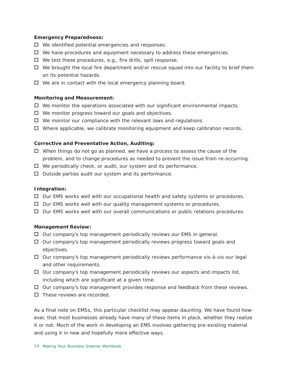### **Emergency Preparedness:**

- $\Box$  We identified potential emergencies and responses.
- $\Box$  We have procedures and equipment necessary to address these emergencies.
- $\Box$  We test these procedures, e.g., fire drills, spill response.
- $\Box$  We brought the local fire department and/or rescue squad into our facility to brief them on its potential hazards.
- $\Box$  We are in contact with the local emergency planning board.

### **Monitoring and Measurement:**

- $\Box$  We monitor the operations associated with our significant environmental impacts.
- $\Box$  We monitor progress toward our goals and objectives.
- $\Box$  We monitor our compliance with the relevant laws and regulations.
- $\Box$  Where applicable, we calibrate monitoring equipment and keep calibration records.

### **Corrective and Preventative Action, Auditing:**

- $\Box$  When things do not go as planned, we have a process to assess the cause of the problem, and to change procedures as needed to prevent the issue from re-occurring.
- $\Box$  We periodically check, or audit, our system and its performance.
- $\Box$  Outside parties audit our system and its performance.

### **Integration:**

- $\Box$  Our EMS works well with our occupational health and safety systems or procedures.
- $\Box$  Our EMS works well with our quality management systems or procedures.
- $\Box$  Our EMS works well with our overall communications or public relations procedures.

#### **Management Review:**

- $\Box$  Our company's top management periodically reviews our EMS in general.
- $\Box$  Our company's top management periodically reviews progress toward goals and objectives.
- $\Box$  Our company's top management periodically reviews performance vis-à-vis our legal and other requirements.
- $\Box$  Our company's top management periodically reviews our aspects and impacts list, including which are significant at a given time.
- $\Box$  Our company's top management provides response and feedback from these reviews.
- $\Box$  These reviews are recorded.

As a final note on EMSs, this particular checklist may appear daunting. We have found however, that most businesses already have many of these items in place, whether they realize it or not. Much of the work in developing an EMS involves gathering pre-existing material and using it in new and hopefully more effective ways.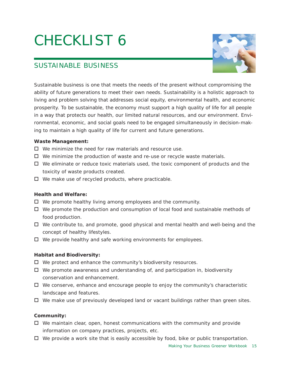

# SUSTAINABLE BUSINESS

Sustainable business is one that meets the needs of the present without compromising the ability of future generations to meet their own needs. Sustainability is a holistic approach to living and problem solving that addresses social equity, environmental health, and economic prosperity. To be sustainable, the economy must support a high quality of life for all people in a way that protects our health, our limited natural resources, and our environment. Environmental, economic, and social goals need to be engaged simultaneously in decision-making to maintain a high quality of life for current and future generations.

# **Waste Management:**

- $\Box$  We minimize the need for raw materials and resource use.
- $\Box$  We minimize the production of waste and re-use or recycle waste materials.
- $\Box$  We eliminate or reduce toxic materials used, the toxic component of products and the toxicity of waste products created.
- $\Box$  We make use of recycled products, where practicable.

# **Health and Welfare:**

- $\Box$  We promote healthy living among employees and the community.
- $\Box$  We promote the production and consumption of local food and sustainable methods of food production.
- $\Box$  We contribute to, and promote, good physical and mental health and well-being and the concept of healthy lifestyles.
- $\Box$  We provide healthy and safe working environments for employees.

# **Habitat and Biodiversity:**

- $\Box$  We protect and enhance the community's biodiversity resources.
- $\Box$  We promote awareness and understanding of, and participation in, biodiversity conservation and enhancement.
- $\Box$  We conserve, enhance and encourage people to enjoy the community's characteristic landscape and features.
- $\Box$  We make use of previously developed land or vacant buildings rather than green sites.

# **Community:**

- $\Box$  We maintain clear, open, honest communications with the community and provide information on company practices, projects, etc.
- $\Box$  We provide a work site that is easily accessible by food, bike or public transportation.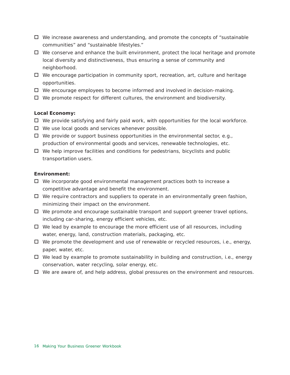- $\Box$  We increase awareness and understanding, and promote the concepts of "sustainable" communities" and "sustainable lifestyles."
- $\Box$  We conserve and enhance the built environment, protect the local heritage and promote local diversity and distinctiveness, thus ensuring a sense of community and neighborhood.
- $\Box$  We encourage participation in community sport, recreation, art, culture and heritage opportunities.
- □ We encourage employees to become informed and involved in decision-making.
- $\Box$  We promote respect for different cultures, the environment and biodiversity.

#### **Local Economy:**

- $\Box$  We provide satisfying and fairly paid work, with opportunities for the local workforce.
- $\Box$  We use local goods and services whenever possible.
- $\Box$  We provide or support business opportunities in the environmental sector, e.g., production of environmental goods and services, renewable technologies, etc.
- $\Box$  We help improve facilities and conditions for pedestrians, bicyclists and public transportation users.

#### **Environment:**

- $\Box$  We incorporate good environmental management practices both to increase a competitive advantage and benefit the environment.
- $\Box$  We require contractors and suppliers to operate in an environmentally green fashion, minimizing their impact on the environment.
- $\Box$  We promote and encourage sustainable transport and support greener travel options, including car-sharing, energy efficient vehicles, etc.
- $\Box$  We lead by example to encourage the more efficient use of all resources, including water, energy, land, construction materials, packaging, etc.
- $\Box$  We promote the development and use of renewable or recycled resources, i.e., energy, paper, water, etc.
- $\Box$  We lead by example to promote sustainability in building and construction, i.e., energy conservation, water recycling, solar energy, etc.
- $\Box$  We are aware of, and help address, global pressures on the environment and resources.